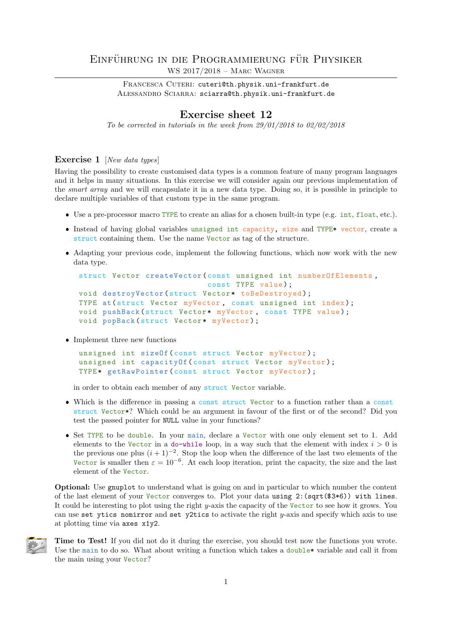## EINFÜHRUNG IN DIE PROGRAMMIERUNG FÜR PHYSIKER WS 2017/2018 – Marc Wagner

FRANCESCA CUTERI: cuteri@th.physik.uni-frankfurt.de ALESSANDRO SCIARRA: sciarra@th.physik.uni-frankfurt.de

## Exercise sheet 12

To be corrected in tutorials in the week from  $29/01/2018$  to  $02/02/2018$ 

## Exercise 1 [New data types]

Having the possibility to create customised data types is a common feature of many program languages and it helps in many situations. In this exercise we will consider again our previous implementation of the smart array and we will encapsulate it in a new data type. Doing so, it is possible in principle to declare multiple variables of that custom type in the same program.

- Use a pre-processor macro TYPE to create an alias for a chosen built-in type (e.g. int, float, etc.).
- **Instead of having global variables unsigned int capacity, size and TYPE\* vector, create a** struct containing them. Use the name Vector as tag of the structure.
- Adapting your previous code, implement the following functions, which now work with the new data type.

```
struct Vector createVector ( const unsigned int numberOfElements ,
                            const TYPE value);
void destroyVector (struct Vector* toBeDestroyed);
TYPE at (struct Vector myVector, const unsigned int index);
void pushBack (struct Vector* myVector, const TYPE value);
void popBack (struct Vector* myVector);
```
• Implement three new functions

```
unsigned int sizeOf (const struct Vector myVector);
unsigned int capacityOf (const struct Vector myVector);
TYPE* getRawPointer (const struct Vector myVector);
```
in order to obtain each member of any struct Vector variable.

- Which is the difference in passing a const struct Vector to a function rather than a const struct Vector\*? Which could be an argument in favour of the first or of the second? Did you test the passed pointer for NULL value in your functions?
- Set TYPE to be double. In your main, declare a Vector with one only element set to 1. Add elements to the Vector in a do-while loop, in a way such that the element with index  $i > 0$  is the previous one plus  $(i + 1)^{-2}$ . Stop the loop when the difference of the last two elements of the Vector is smaller then  $\varepsilon = 10^{-6}$ . At each loop iteration, print the capacity, the size and the last element of the Vector.

Optional: Use gnuplot to understand what is going on and in particular to which number the content of the last element of your Vector converges to. Plot your data using 2:(sqrt(\$3\*6)) with lines. It could be interesting to plot using the right y-axis the capacity of the Vector to see how it grows. You can use set ytics nomirror and set y2tics to activate the right  $y$ -axis and specify which axis to use at plotting time via axes x1y2.



Time to Test! If you did not do it during the exercise, you should test now the functions you wrote. Use the main to do so. What about writing a function which takes a double\* variable and call it from the main using your Vector?